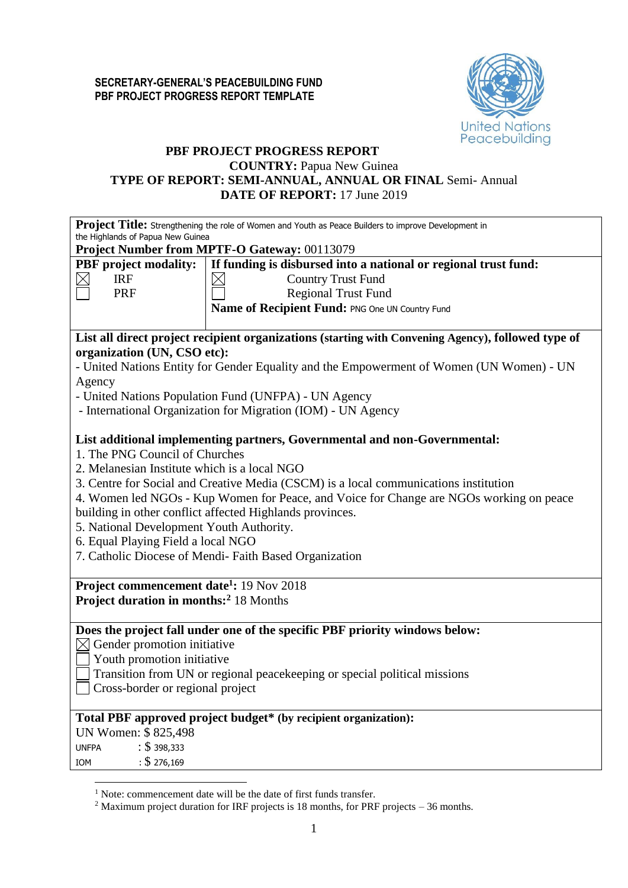

# **PBF PROJECT PROGRESS REPORT**

# **COUNTRY:** Papua New Guinea **TYPE OF REPORT: SEMI-ANNUAL, ANNUAL OR FINAL** Semi- Annual **DATE OF REPORT:** 17 June 2019

**Project Title:** Strengthening the role of Women and Youth as Peace Builders to improve Development in the Highlands of Papua New Guinea

**Project Number from MPTF-O Gateway:** 00113070

|                                                                                                 | <b>Project Number from MPTF-O Gateway:</b> 00113079                                                |  |  |  |  |  |  |  |  |  |
|-------------------------------------------------------------------------------------------------|----------------------------------------------------------------------------------------------------|--|--|--|--|--|--|--|--|--|
| If funding is disbursed into a national or regional trust fund:<br><b>PBF</b> project modality: |                                                                                                    |  |  |  |  |  |  |  |  |  |
| <b>IRF</b>                                                                                      | <b>Country Trust Fund</b>                                                                          |  |  |  |  |  |  |  |  |  |
| PRF                                                                                             | <b>Regional Trust Fund</b>                                                                         |  |  |  |  |  |  |  |  |  |
|                                                                                                 | Name of Recipient Fund: PNG One UN Country Fund                                                    |  |  |  |  |  |  |  |  |  |
|                                                                                                 |                                                                                                    |  |  |  |  |  |  |  |  |  |
|                                                                                                 | List all direct project recipient organizations (starting with Convening Agency), followed type of |  |  |  |  |  |  |  |  |  |
| organization (UN, CSO etc):                                                                     |                                                                                                    |  |  |  |  |  |  |  |  |  |
|                                                                                                 | - United Nations Entity for Gender Equality and the Empowerment of Women (UN Women) - UN           |  |  |  |  |  |  |  |  |  |
| Agency                                                                                          |                                                                                                    |  |  |  |  |  |  |  |  |  |
|                                                                                                 | - United Nations Population Fund (UNFPA) - UN Agency                                               |  |  |  |  |  |  |  |  |  |
|                                                                                                 | - International Organization for Migration (IOM) - UN Agency                                       |  |  |  |  |  |  |  |  |  |
|                                                                                                 |                                                                                                    |  |  |  |  |  |  |  |  |  |
|                                                                                                 | List additional implementing partners, Governmental and non-Governmental:                          |  |  |  |  |  |  |  |  |  |
| 1. The PNG Council of Churches                                                                  |                                                                                                    |  |  |  |  |  |  |  |  |  |
| 2. Melanesian Institute which is a local NGO                                                    |                                                                                                    |  |  |  |  |  |  |  |  |  |
|                                                                                                 | 3. Centre for Social and Creative Media (CSCM) is a local communications institution               |  |  |  |  |  |  |  |  |  |
|                                                                                                 | 4. Women led NGOs - Kup Women for Peace, and Voice for Change are NGOs working on peace            |  |  |  |  |  |  |  |  |  |
|                                                                                                 | building in other conflict affected Highlands provinces.                                           |  |  |  |  |  |  |  |  |  |
| 5. National Development Youth Authority.                                                        |                                                                                                    |  |  |  |  |  |  |  |  |  |
| 6. Equal Playing Field a local NGO                                                              |                                                                                                    |  |  |  |  |  |  |  |  |  |
|                                                                                                 | 7. Catholic Diocese of Mendi-Faith Based Organization                                              |  |  |  |  |  |  |  |  |  |
|                                                                                                 |                                                                                                    |  |  |  |  |  |  |  |  |  |
|                                                                                                 | Project commencement date <sup>1</sup> : 19 Nov 2018                                               |  |  |  |  |  |  |  |  |  |
| <b>Project duration in months:</b> <sup>2</sup> 18 Months                                       |                                                                                                    |  |  |  |  |  |  |  |  |  |
|                                                                                                 |                                                                                                    |  |  |  |  |  |  |  |  |  |
|                                                                                                 | Does the project fall under one of the specific PBF priority windows below:                        |  |  |  |  |  |  |  |  |  |
| $\boxtimes$ Gender promotion initiative                                                         |                                                                                                    |  |  |  |  |  |  |  |  |  |
| Youth promotion initiative                                                                      |                                                                                                    |  |  |  |  |  |  |  |  |  |
|                                                                                                 | Transition from UN or regional peacekeeping or special political missions                          |  |  |  |  |  |  |  |  |  |
| Cross-border or regional project                                                                |                                                                                                    |  |  |  |  |  |  |  |  |  |
|                                                                                                 |                                                                                                    |  |  |  |  |  |  |  |  |  |
|                                                                                                 | Total PBF approved project budget* (by recipient organization):                                    |  |  |  |  |  |  |  |  |  |
| UN Women: \$825,498                                                                             |                                                                                                    |  |  |  |  |  |  |  |  |  |
| $\div$ \$ 398,333<br><b>UNFPA</b>                                                               |                                                                                                    |  |  |  |  |  |  |  |  |  |
|                                                                                                 |                                                                                                    |  |  |  |  |  |  |  |  |  |

IOM : \$ 276,169

<u>.</u>

<sup>&</sup>lt;sup>1</sup> Note: commencement date will be the date of first funds transfer.

<sup>2</sup> Maximum project duration for IRF projects is 18 months, for PRF projects – 36 months.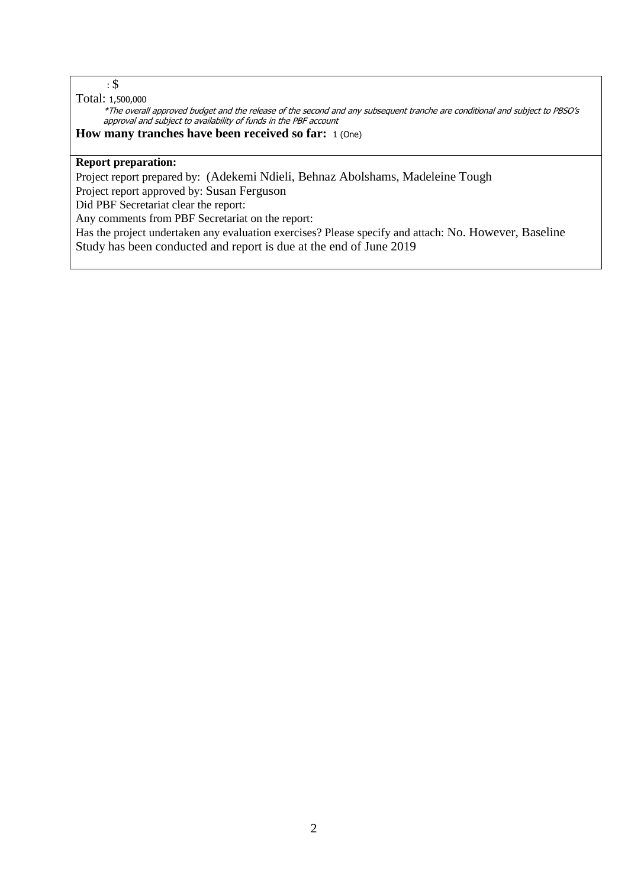## : \$

### Total: 1,500,000

\*The overall approved budget and the release of the second and any subsequent tranche are conditional and subject to PBSO's approval and subject to availability of funds in the PBF account

### **How many tranches have been received so far:** 1 (One)

# **Report preparation:**

Project report prepared by: (Adekemi Ndieli, Behnaz Abolshams, Madeleine Tough

Project report approved by: Susan Ferguson

Did PBF Secretariat clear the report:

Any comments from PBF Secretariat on the report:

Has the project undertaken any evaluation exercises? Please specify and attach: No. However, Baseline Study has been conducted and report is due at the end of June 2019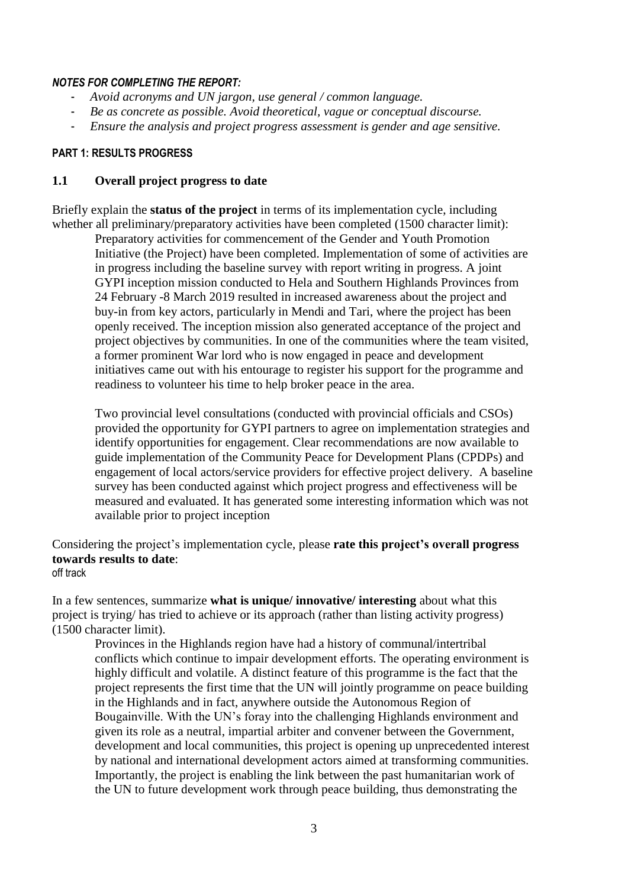#### *NOTES FOR COMPLETING THE REPORT:*

- *Avoid acronyms and UN jargon, use general / common language.*
- *Be as concrete as possible. Avoid theoretical, vague or conceptual discourse.*
- *Ensure the analysis and project progress assessment is gender and age sensitive.*

#### **PART 1: RESULTS PROGRESS**

### **1.1 Overall project progress to date**

Briefly explain the **status of the project** in terms of its implementation cycle, including whether all preliminary/preparatory activities have been completed (1500 character limit):

Preparatory activities for commencement of the Gender and Youth Promotion Initiative (the Project) have been completed. Implementation of some of activities are in progress including the baseline survey with report writing in progress. A joint GYPI inception mission conducted to Hela and Southern Highlands Provinces from 24 February -8 March 2019 resulted in increased awareness about the project and buy-in from key actors, particularly in Mendi and Tari, where the project has been openly received. The inception mission also generated acceptance of the project and project objectives by communities. In one of the communities where the team visited, a former prominent War lord who is now engaged in peace and development initiatives came out with his entourage to register his support for the programme and readiness to volunteer his time to help broker peace in the area.

Two provincial level consultations (conducted with provincial officials and CSOs) provided the opportunity for GYPI partners to agree on implementation strategies and identify opportunities for engagement. Clear recommendations are now available to guide implementation of the Community Peace for Development Plans (CPDPs) and engagement of local actors/service providers for effective project delivery. A baseline survey has been conducted against which project progress and effectiveness will be measured and evaluated. It has generated some interesting information which was not available prior to project inception

Considering the project's implementation cycle, please **rate this project's overall progress towards results to date**: off track

In a few sentences, summarize **what is unique/ innovative/ interesting** about what this project is trying/ has tried to achieve or its approach (rather than listing activity progress) (1500 character limit).

Provinces in the Highlands region have had a history of communal/intertribal conflicts which continue to impair development efforts. The operating environment is highly difficult and volatile. A distinct feature of this programme is the fact that the project represents the first time that the UN will jointly programme on peace building in the Highlands and in fact, anywhere outside the Autonomous Region of Bougainville. With the UN's foray into the challenging Highlands environment and given its role as a neutral, impartial arbiter and convener between the Government, development and local communities, this project is opening up unprecedented interest by national and international development actors aimed at transforming communities. Importantly, the project is enabling the link between the past humanitarian work of the UN to future development work through peace building, thus demonstrating the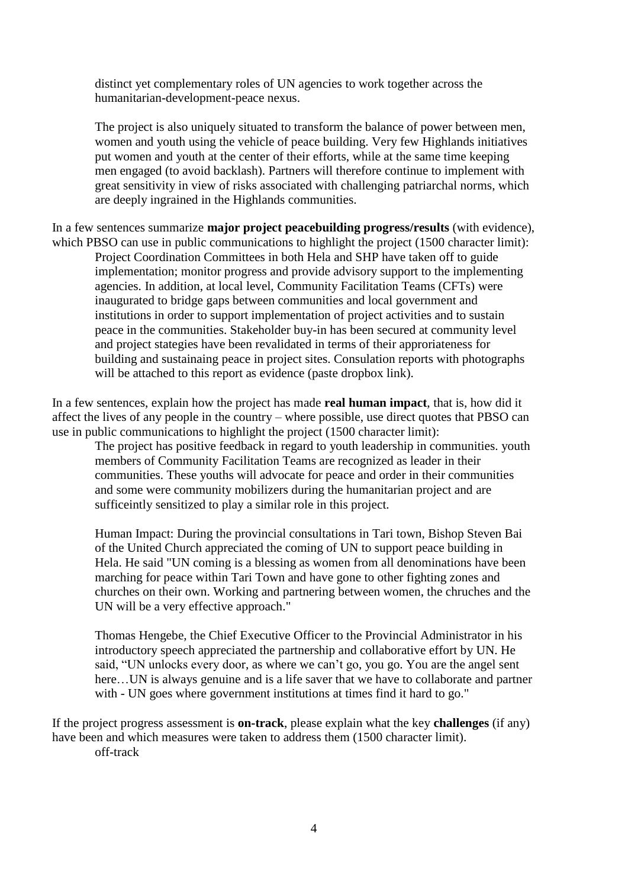distinct yet complementary roles of UN agencies to work together across the humanitarian-development-peace nexus.

The project is also uniquely situated to transform the balance of power between men, women and youth using the vehicle of peace building. Very few Highlands initiatives put women and youth at the center of their efforts, while at the same time keeping men engaged (to avoid backlash). Partners will therefore continue to implement with great sensitivity in view of risks associated with challenging patriarchal norms, which are deeply ingrained in the Highlands communities.

In a few sentences summarize **major project peacebuilding progress/results** (with evidence), which PBSO can use in public communications to highlight the project (1500 character limit):

Project Coordination Committees in both Hela and SHP have taken off to guide implementation; monitor progress and provide advisory support to the implementing agencies. In addition, at local level, Community Facilitation Teams (CFTs) were inaugurated to bridge gaps between communities and local government and institutions in order to support implementation of project activities and to sustain peace in the communities. Stakeholder buy-in has been secured at community level and project stategies have been revalidated in terms of their approriateness for building and sustainaing peace in project sites. Consulation reports with photographs will be attached to this report as evidence (paste dropbox link).

In a few sentences, explain how the project has made **real human impact**, that is, how did it affect the lives of any people in the country – where possible, use direct quotes that PBSO can use in public communications to highlight the project (1500 character limit):

The project has positive feedback in regard to youth leadership in communities. youth members of Community Facilitation Teams are recognized as leader in their communities. These youths will advocate for peace and order in their communities and some were community mobilizers during the humanitarian project and are sufficeintly sensitized to play a similar role in this project.

Human Impact: During the provincial consultations in Tari town, Bishop Steven Bai of the United Church appreciated the coming of UN to support peace building in Hela. He said "UN coming is a blessing as women from all denominations have been marching for peace within Tari Town and have gone to other fighting zones and churches on their own. Working and partnering between women, the chruches and the UN will be a very effective approach."

Thomas Hengebe, the Chief Executive Officer to the Provincial Administrator in his introductory speech appreciated the partnership and collaborative effort by UN. He said, "UN unlocks every door, as where we can't go, you go. You are the angel sent here... UN is always genuine and is a life saver that we have to collaborate and partner with - UN goes where government institutions at times find it hard to go."

If the project progress assessment is **on-track**, please explain what the key **challenges** (if any) have been and which measures were taken to address them (1500 character limit). off-track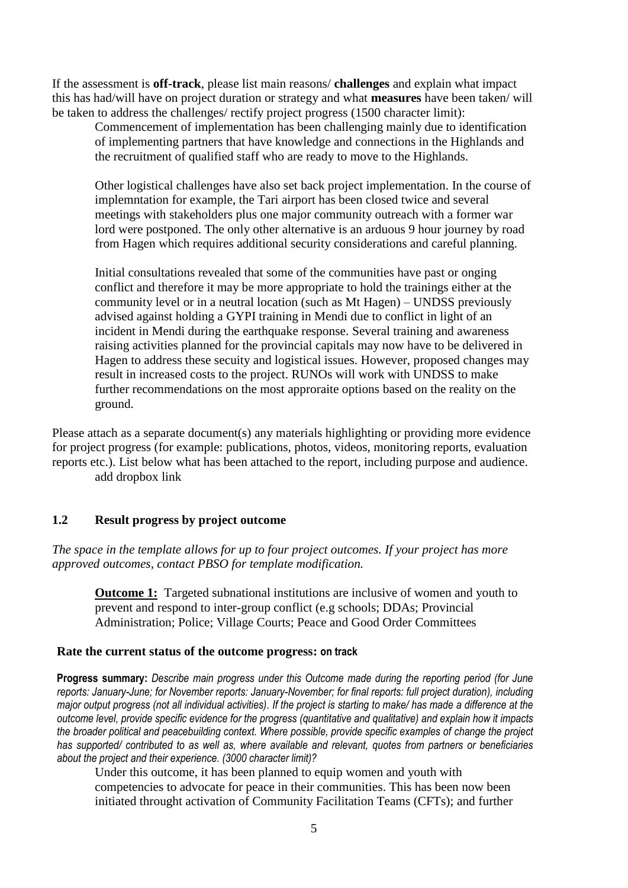If the assessment is **off-track**, please list main reasons/ **challenges** and explain what impact this has had/will have on project duration or strategy and what **measures** have been taken/ will be taken to address the challenges/ rectify project progress (1500 character limit):

Commencement of implementation has been challenging mainly due to identification of implementing partners that have knowledge and connections in the Highlands and the recruitment of qualified staff who are ready to move to the Highlands.

Other logistical challenges have also set back project implementation. In the course of implemntation for example, the Tari airport has been closed twice and several meetings with stakeholders plus one major community outreach with a former war lord were postponed. The only other alternative is an arduous 9 hour journey by road from Hagen which requires additional security considerations and careful planning.

Initial consultations revealed that some of the communities have past or onging conflict and therefore it may be more appropriate to hold the trainings either at the community level or in a neutral location (such as Mt Hagen) – UNDSS previously advised against holding a GYPI training in Mendi due to conflict in light of an incident in Mendi during the earthquake response. Several training and awareness raising activities planned for the provincial capitals may now have to be delivered in Hagen to address these secuity and logistical issues. However, proposed changes may result in increased costs to the project. RUNOs will work with UNDSS to make further recommendations on the most approraite options based on the reality on the ground.

Please attach as a separate document(s) any materials highlighting or providing more evidence for project progress (for example: publications, photos, videos, monitoring reports, evaluation reports etc.). List below what has been attached to the report, including purpose and audience. add dropbox link

### **1.2 Result progress by project outcome**

*The space in the template allows for up to four project outcomes. If your project has more approved outcomes, contact PBSO for template modification.*

**Outcome 1:** Targeted subnational institutions are inclusive of women and youth to prevent and respond to inter-group conflict (e.g schools; DDAs; Provincial Administration; Police; Village Courts; Peace and Good Order Committees

#### **Rate the current status of the outcome progress: on track**

**Progress summary:** *Describe main progress under this Outcome made during the reporting period (for June reports: January-June; for November reports: January-November; for final reports: full project duration), including major output progress (not all individual activities). If the project is starting to make/ has made a difference at the outcome level, provide specific evidence for the progress (quantitative and qualitative) and explain how it impacts the broader political and peacebuilding context. Where possible, provide specific examples of change the project has supported/ contributed to as well as, where available and relevant, quotes from partners or beneficiaries about the project and their experience. (3000 character limit)?* 

Under this outcome, it has been planned to equip women and youth with competencies to advocate for peace in their communities. This has been now been initiated throught activation of Community Facilitation Teams (CFTs); and further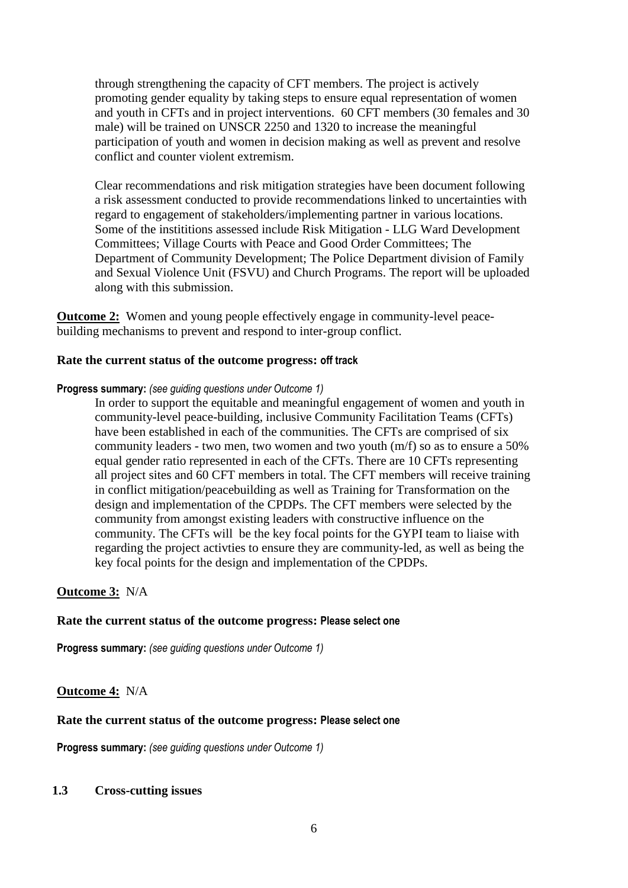through strengthening the capacity of CFT members. The project is actively promoting gender equality by taking steps to ensure equal representation of women and youth in CFTs and in project interventions. 60 CFT members (30 females and 30 male) will be trained on UNSCR 2250 and 1320 to increase the meaningful participation of youth and women in decision making as well as prevent and resolve conflict and counter violent extremism.

Clear recommendations and risk mitigation strategies have been document following a risk assessment conducted to provide recommendations linked to uncertainties with regard to engagement of stakeholders/implementing partner in various locations. Some of the instititions assessed include Risk Mitigation - LLG Ward Development Committees; Village Courts with Peace and Good Order Committees; The Department of Community Development; The Police Department division of Family and Sexual Violence Unit (FSVU) and Church Programs. The report will be uploaded along with this submission.

**<u>Outcome 2:</u>** Women and young people effectively engage in community-level peacebuilding mechanisms to prevent and respond to inter-group conflict.

#### **Rate the current status of the outcome progress: off track**

#### **Progress summary:** *(see guiding questions under Outcome 1)*

In order to support the equitable and meaningful engagement of women and youth in community-level peace-building, inclusive Community Facilitation Teams (CFTs) have been established in each of the communities. The CFTs are comprised of six community leaders - two men, two women and two youth (m/f) so as to ensure a 50% equal gender ratio represented in each of the CFTs. There are 10 CFTs representing all project sites and 60 CFT members in total. The CFT members will receive training in conflict mitigation/peacebuilding as well as Training for Transformation on the design and implementation of the CPDPs. The CFT members were selected by the community from amongst existing leaders with constructive influence on the community. The CFTs will be the key focal points for the GYPI team to liaise with regarding the project activties to ensure they are community-led, as well as being the key focal points for the design and implementation of the CPDPs.

#### **Outcome 3:** N/A

#### **Rate the current status of the outcome progress: Please select one**

**Progress summary:** *(see guiding questions under Outcome 1)* 

#### **Outcome 4:** N/A

#### **Rate the current status of the outcome progress: Please select one**

**Progress summary:** *(see guiding questions under Outcome 1)* 

#### **1.3 Cross-cutting issues**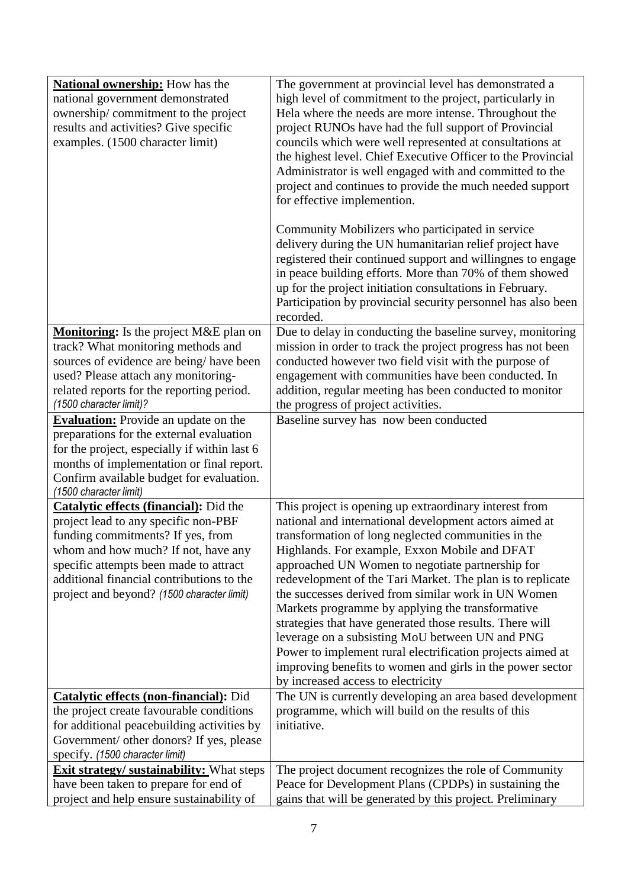| <b>National ownership:</b> How has the<br>national government demonstrated<br>ownership/commitment to the project<br>results and activities? Give specific<br>examples. (1500 character limit)                                                                                                         | The government at provincial level has demonstrated a<br>high level of commitment to the project, particularly in<br>Hela where the needs are more intense. Throughout the<br>project RUNOs have had the full support of Provincial<br>councils which were well represented at consultations at<br>the highest level. Chief Executive Officer to the Provincial<br>Administrator is well engaged with and committed to the<br>project and continues to provide the much needed support<br>for effective implemention.<br>Community Mobilizers who participated in service<br>delivery during the UN humanitarian relief project have                                                                                                  |
|--------------------------------------------------------------------------------------------------------------------------------------------------------------------------------------------------------------------------------------------------------------------------------------------------------|---------------------------------------------------------------------------------------------------------------------------------------------------------------------------------------------------------------------------------------------------------------------------------------------------------------------------------------------------------------------------------------------------------------------------------------------------------------------------------------------------------------------------------------------------------------------------------------------------------------------------------------------------------------------------------------------------------------------------------------|
|                                                                                                                                                                                                                                                                                                        | registered their continued support and willingnes to engage<br>in peace building efforts. More than 70% of them showed<br>up for the project initiation consultations in February.<br>Participation by provincial security personnel has also been<br>recorded.                                                                                                                                                                                                                                                                                                                                                                                                                                                                       |
| <b>Monitoring:</b> Is the project M&E plan on<br>track? What monitoring methods and<br>sources of evidence are being/have been<br>used? Please attach any monitoring-<br>related reports for the reporting period.<br>(1500 character limit)?                                                          | Due to delay in conducting the baseline survey, monitoring<br>mission in order to track the project progress has not been<br>conducted however two field visit with the purpose of<br>engagement with communities have been conducted. In<br>addition, regular meeting has been conducted to monitor<br>the progress of project activities.                                                                                                                                                                                                                                                                                                                                                                                           |
| <b>Evaluation:</b> Provide an update on the<br>preparations for the external evaluation<br>for the project, especially if within last 6<br>months of implementation or final report.<br>Confirm available budget for evaluation.<br>(1500 character limit)                                             | Baseline survey has now been conducted                                                                                                                                                                                                                                                                                                                                                                                                                                                                                                                                                                                                                                                                                                |
| <b>Catalytic effects (financial):</b> Did the<br>project lead to any specific non-PBF<br>funding commitments? If yes, from<br>whom and how much? If not, have any<br>specific attempts been made to attract<br>additional financial contributions to the<br>project and beyond? (1500 character limit) | This project is opening up extraordinary interest from<br>national and international development actors aimed at<br>transformation of long neglected communities in the<br>Highlands. For example, Exxon Mobile and DFAT<br>approached UN Women to negotiate partnership for<br>redevelopment of the Tari Market. The plan is to replicate<br>the successes derived from similar work in UN Women<br>Markets programme by applying the transformative<br>strategies that have generated those results. There will<br>leverage on a subsisting MoU between UN and PNG<br>Power to implement rural electrification projects aimed at<br>improving benefits to women and girls in the power sector<br>by increased access to electricity |
| <b>Catalytic effects (non-financial):</b> Did<br>the project create favourable conditions<br>for additional peacebuilding activities by<br>Government/ other donors? If yes, please<br>specify. (1500 character limit)                                                                                 | The UN is currently developing an area based development<br>programme, which will build on the results of this<br>initiative.                                                                                                                                                                                                                                                                                                                                                                                                                                                                                                                                                                                                         |
| <b>Exit strategy/ sustainability:</b> What steps<br>have been taken to prepare for end of<br>project and help ensure sustainability of                                                                                                                                                                 | The project document recognizes the role of Community<br>Peace for Development Plans (CPDPs) in sustaining the<br>gains that will be generated by this project. Preliminary                                                                                                                                                                                                                                                                                                                                                                                                                                                                                                                                                           |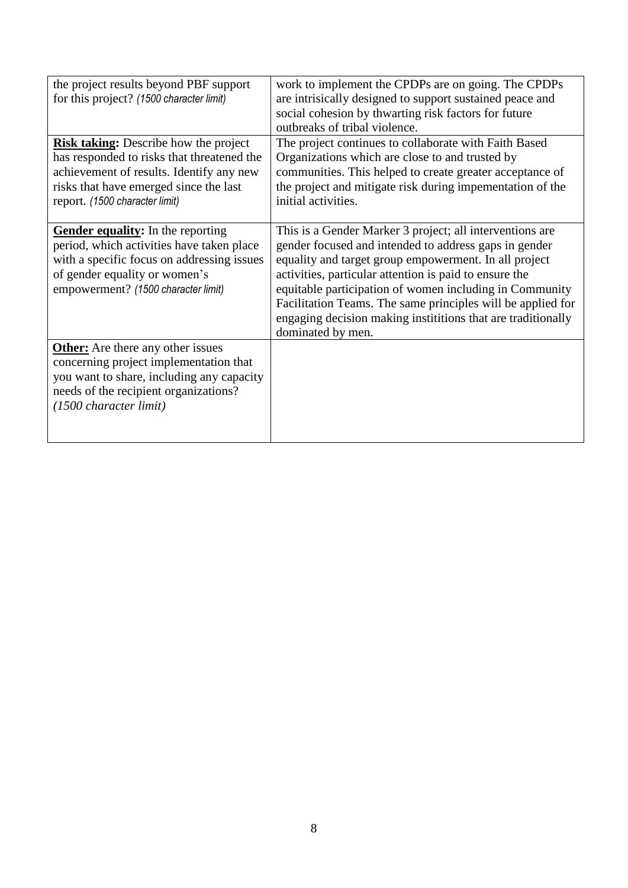| the project results beyond PBF support       | work to implement the CPDPs are on going. The CPDPs          |
|----------------------------------------------|--------------------------------------------------------------|
| for this project? (1500 character limit)     | are intrisically designed to support sustained peace and     |
|                                              | social cohesion by thwarting risk factors for future         |
|                                              | outbreaks of tribal violence.                                |
| <b>Risk taking:</b> Describe how the project | The project continues to collaborate with Faith Based        |
| has responded to risks that threatened the   | Organizations which are close to and trusted by              |
| achievement of results. Identify any new     | communities. This helped to create greater acceptance of     |
| risks that have emerged since the last       | the project and mitigate risk during impementation of the    |
| report. (1500 character limit)               | initial activities.                                          |
|                                              |                                                              |
| Gender equality: In the reporting            | This is a Gender Marker 3 project; all interventions are     |
| period, which activities have taken place    | gender focused and intended to address gaps in gender        |
| with a specific focus on addressing issues   | equality and target group empowerment. In all project        |
| of gender equality or women's                | activities, particular attention is paid to ensure the       |
| empowerment? (1500 character limit)          | equitable participation of women including in Community      |
|                                              | Facilitation Teams. The same principles will be applied for  |
|                                              | engaging decision making institutions that are traditionally |
|                                              |                                                              |
|                                              | dominated by men.                                            |
| <b>Other:</b> Are there any other issues     |                                                              |
| concerning project implementation that       |                                                              |
| you want to share, including any capacity    |                                                              |
| needs of the recipient organizations?        |                                                              |
| (1500 character limit)                       |                                                              |
|                                              |                                                              |
|                                              |                                                              |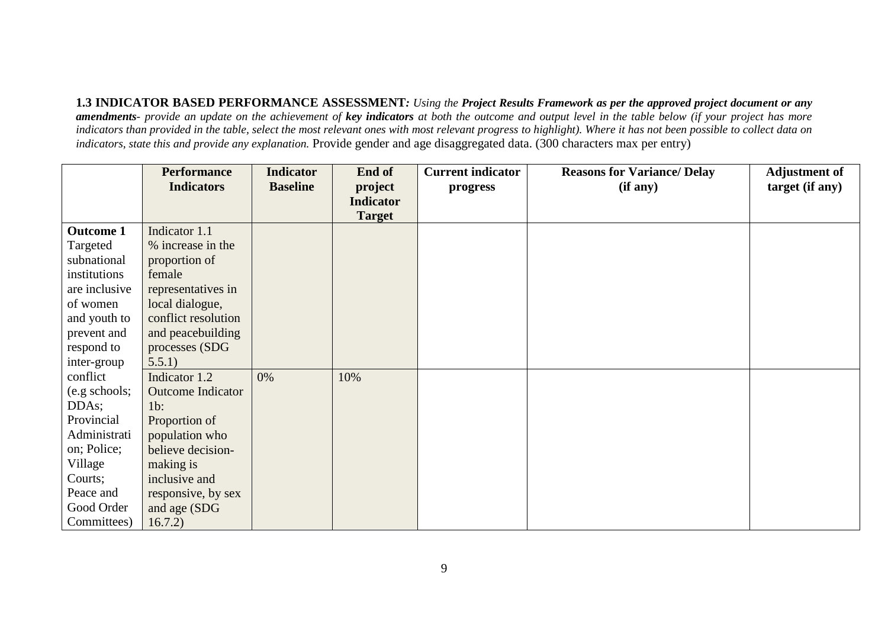**1.3 INDICATOR BASED PERFORMANCE ASSESSMENT***: Using the Project Results Framework as per the approved project document or any amendments- provide an update on the achievement of key indicators at both the outcome and output level in the table below (if your project has more indicators than provided in the table, select the most relevant ones with most relevant progress to highlight). Where it has not been possible to collect data on indicators, state this and provide any explanation.* Provide gender and age disaggregated data. (300 characters max per entry)

|                  | <b>Performance</b>       | <b>Indicator</b> | End of           | <b>Current indicator</b> | <b>Reasons for Variance/ Delay</b> | <b>Adjustment of</b> |
|------------------|--------------------------|------------------|------------------|--------------------------|------------------------------------|----------------------|
|                  | <b>Indicators</b>        | <b>Baseline</b>  | project          | progress                 | (if any)                           | target (if any)      |
|                  |                          |                  | <b>Indicator</b> |                          |                                    |                      |
|                  |                          |                  | <b>Target</b>    |                          |                                    |                      |
| <b>Outcome 1</b> | Indicator 1.1            |                  |                  |                          |                                    |                      |
| Targeted         | % increase in the        |                  |                  |                          |                                    |                      |
| subnational      | proportion of            |                  |                  |                          |                                    |                      |
| institutions     | female                   |                  |                  |                          |                                    |                      |
| are inclusive    | representatives in       |                  |                  |                          |                                    |                      |
| of women         | local dialogue,          |                  |                  |                          |                                    |                      |
| and youth to     | conflict resolution      |                  |                  |                          |                                    |                      |
| prevent and      | and peacebuilding        |                  |                  |                          |                                    |                      |
| respond to       | processes (SDG           |                  |                  |                          |                                    |                      |
| inter-group      | 5.5.1)                   |                  |                  |                          |                                    |                      |
| conflict         | Indicator 1.2            | 0%               | 10%              |                          |                                    |                      |
| (e.g. schools;   | <b>Outcome Indicator</b> |                  |                  |                          |                                    |                      |
| DDAs;            | $1b$ :                   |                  |                  |                          |                                    |                      |
| Provincial       | Proportion of            |                  |                  |                          |                                    |                      |
| Administrati     | population who           |                  |                  |                          |                                    |                      |
| on; Police;      | believe decision-        |                  |                  |                          |                                    |                      |
| Village          | making is                |                  |                  |                          |                                    |                      |
| Courts;          | inclusive and            |                  |                  |                          |                                    |                      |
| Peace and        | responsive, by sex       |                  |                  |                          |                                    |                      |
| Good Order       | and age (SDG             |                  |                  |                          |                                    |                      |
| Committees)      | 16.7.2)                  |                  |                  |                          |                                    |                      |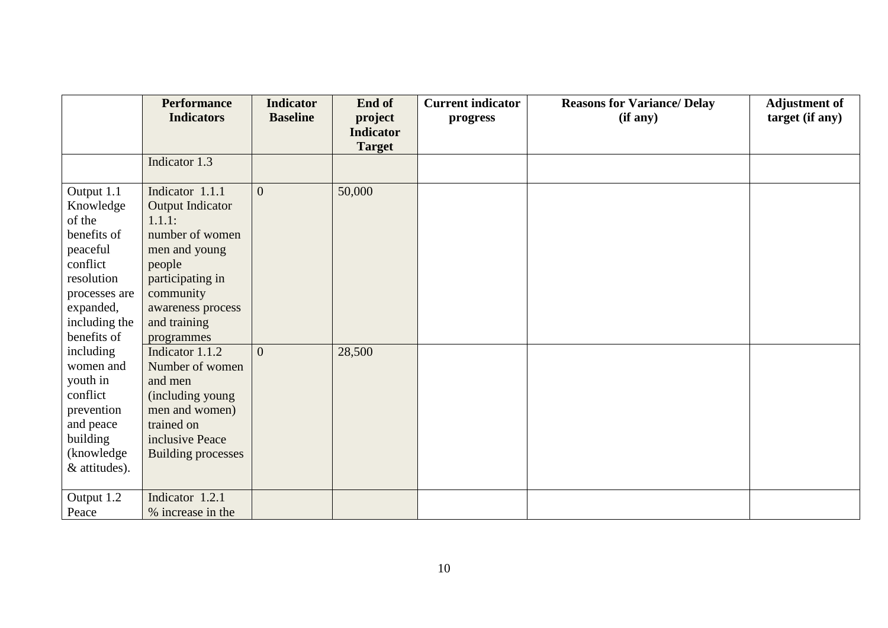|               | <b>Performance</b>        | <b>Indicator</b> | End of           | <b>Current indicator</b> | <b>Reasons for Variance/ Delay</b> | <b>Adjustment of</b> |
|---------------|---------------------------|------------------|------------------|--------------------------|------------------------------------|----------------------|
|               | <b>Indicators</b>         | <b>Baseline</b>  | project          | progress                 | (if any)                           | target (if any)      |
|               |                           |                  | <b>Indicator</b> |                          |                                    |                      |
|               |                           |                  | <b>Target</b>    |                          |                                    |                      |
|               | Indicator 1.3             |                  |                  |                          |                                    |                      |
| Output 1.1    | Indicator 1.1.1           | $\overline{0}$   | 50,000           |                          |                                    |                      |
| Knowledge     | <b>Output Indicator</b>   |                  |                  |                          |                                    |                      |
| of the        | 1.1.1:                    |                  |                  |                          |                                    |                      |
| benefits of   | number of women           |                  |                  |                          |                                    |                      |
| peaceful      | men and young             |                  |                  |                          |                                    |                      |
| conflict      | people                    |                  |                  |                          |                                    |                      |
| resolution    | participating in          |                  |                  |                          |                                    |                      |
| processes are | community                 |                  |                  |                          |                                    |                      |
| expanded,     | awareness process         |                  |                  |                          |                                    |                      |
| including the | and training              |                  |                  |                          |                                    |                      |
| benefits of   | programmes                |                  |                  |                          |                                    |                      |
| including     | Indicator 1.1.2           | $\theta$         | 28,500           |                          |                                    |                      |
| women and     | Number of women           |                  |                  |                          |                                    |                      |
| youth in      | and men                   |                  |                  |                          |                                    |                      |
| conflict      | (including young          |                  |                  |                          |                                    |                      |
| prevention    | men and women)            |                  |                  |                          |                                    |                      |
| and peace     | trained on                |                  |                  |                          |                                    |                      |
| building      | inclusive Peace           |                  |                  |                          |                                    |                      |
| (knowledge    | <b>Building processes</b> |                  |                  |                          |                                    |                      |
| & attitudes). |                           |                  |                  |                          |                                    |                      |
| Output 1.2    | Indicator 1.2.1           |                  |                  |                          |                                    |                      |
| Peace         | % increase in the         |                  |                  |                          |                                    |                      |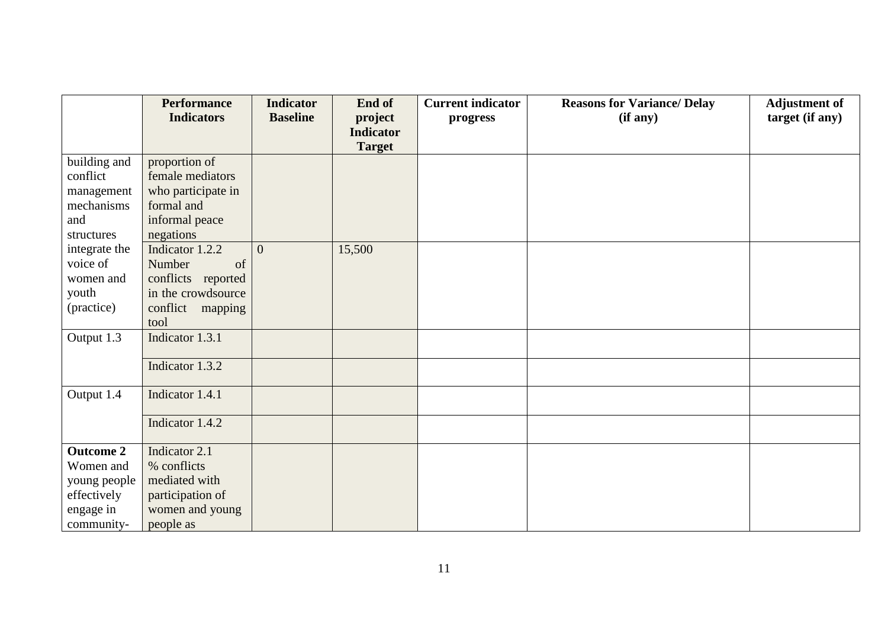|                  | <b>Performance</b> | <b>Indicator</b> | End of           | <b>Current indicator</b> | <b>Reasons for Variance/ Delay</b> | <b>Adjustment of</b> |
|------------------|--------------------|------------------|------------------|--------------------------|------------------------------------|----------------------|
|                  | <b>Indicators</b>  | <b>Baseline</b>  | project          | progress                 | (if any)                           | target (if any)      |
|                  |                    |                  | <b>Indicator</b> |                          |                                    |                      |
|                  |                    |                  | <b>Target</b>    |                          |                                    |                      |
| building and     | proportion of      |                  |                  |                          |                                    |                      |
| conflict         | female mediators   |                  |                  |                          |                                    |                      |
| management       | who participate in |                  |                  |                          |                                    |                      |
| mechanisms       | formal and         |                  |                  |                          |                                    |                      |
| and              | informal peace     |                  |                  |                          |                                    |                      |
| structures       | negations          |                  |                  |                          |                                    |                      |
| integrate the    | Indicator 1.2.2    | $\overline{0}$   | 15,500           |                          |                                    |                      |
| voice of         | Number<br>of       |                  |                  |                          |                                    |                      |
| women and        | conflicts reported |                  |                  |                          |                                    |                      |
| youth            | in the crowdsource |                  |                  |                          |                                    |                      |
| (practice)       | conflict mapping   |                  |                  |                          |                                    |                      |
|                  | tool               |                  |                  |                          |                                    |                      |
| Output 1.3       | Indicator 1.3.1    |                  |                  |                          |                                    |                      |
|                  |                    |                  |                  |                          |                                    |                      |
|                  | Indicator 1.3.2    |                  |                  |                          |                                    |                      |
|                  |                    |                  |                  |                          |                                    |                      |
| Output 1.4       | Indicator 1.4.1    |                  |                  |                          |                                    |                      |
|                  | Indicator 1.4.2    |                  |                  |                          |                                    |                      |
|                  |                    |                  |                  |                          |                                    |                      |
| <b>Outcome 2</b> | Indicator 2.1      |                  |                  |                          |                                    |                      |
| Women and        | % conflicts        |                  |                  |                          |                                    |                      |
| young people     | mediated with      |                  |                  |                          |                                    |                      |
| effectively      | participation of   |                  |                  |                          |                                    |                      |
| engage in        | women and young    |                  |                  |                          |                                    |                      |
| community-       | people as          |                  |                  |                          |                                    |                      |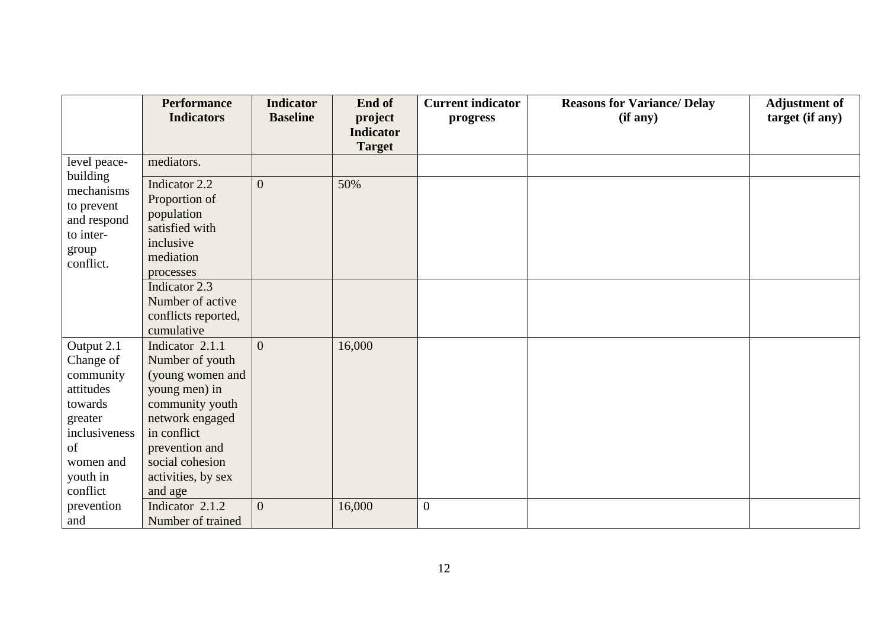|                          | <b>Performance</b>  | <b>Indicator</b> | End of           | <b>Current indicator</b> | <b>Reasons for Variance/ Delay</b> | <b>Adjustment of</b> |
|--------------------------|---------------------|------------------|------------------|--------------------------|------------------------------------|----------------------|
|                          | <b>Indicators</b>   | <b>Baseline</b>  | project          | progress                 | (if any)                           | target (if any)      |
|                          |                     |                  | <b>Indicator</b> |                          |                                    |                      |
|                          |                     |                  | <b>Target</b>    |                          |                                    |                      |
| level peace-<br>building | mediators.          |                  |                  |                          |                                    |                      |
| mechanisms               | Indicator 2.2       | $\overline{0}$   | 50%              |                          |                                    |                      |
| to prevent               | Proportion of       |                  |                  |                          |                                    |                      |
| and respond              | population          |                  |                  |                          |                                    |                      |
| to inter-                | satisfied with      |                  |                  |                          |                                    |                      |
| group                    | inclusive           |                  |                  |                          |                                    |                      |
| conflict.                | mediation           |                  |                  |                          |                                    |                      |
|                          | processes           |                  |                  |                          |                                    |                      |
|                          | Indicator 2.3       |                  |                  |                          |                                    |                      |
|                          | Number of active    |                  |                  |                          |                                    |                      |
|                          | conflicts reported, |                  |                  |                          |                                    |                      |
|                          | cumulative          |                  |                  |                          |                                    |                      |
| Output 2.1               | Indicator 2.1.1     | $\overline{0}$   | 16,000           |                          |                                    |                      |
| Change of                | Number of youth     |                  |                  |                          |                                    |                      |
| community                | (young women and    |                  |                  |                          |                                    |                      |
| attitudes                | young men) in       |                  |                  |                          |                                    |                      |
| towards                  | community youth     |                  |                  |                          |                                    |                      |
| greater                  | network engaged     |                  |                  |                          |                                    |                      |
| inclusiveness            | in conflict         |                  |                  |                          |                                    |                      |
| of                       | prevention and      |                  |                  |                          |                                    |                      |
| women and                | social cohesion     |                  |                  |                          |                                    |                      |
| youth in                 | activities, by sex  |                  |                  |                          |                                    |                      |
| conflict                 | and age             |                  |                  |                          |                                    |                      |
| prevention               | Indicator 2.1.2     | $\overline{0}$   | 16,000           | $\boldsymbol{0}$         |                                    |                      |
| and                      | Number of trained   |                  |                  |                          |                                    |                      |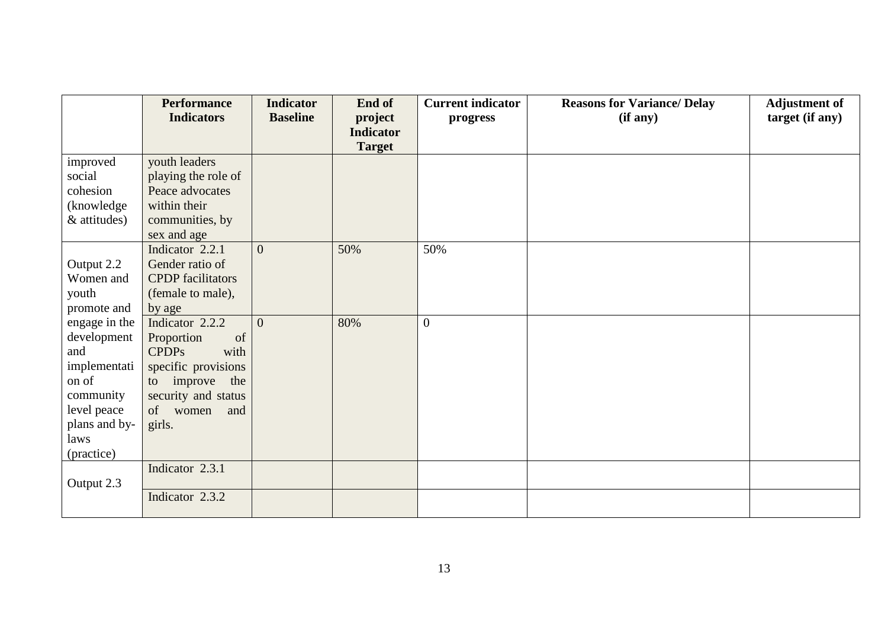|               | <b>Performance</b>       | <b>Indicator</b> | End of           | <b>Current indicator</b> | <b>Reasons for Variance/ Delay</b> | <b>Adjustment of</b> |
|---------------|--------------------------|------------------|------------------|--------------------------|------------------------------------|----------------------|
|               | <b>Indicators</b>        | <b>Baseline</b>  | project          | progress                 | (if any)                           | target (if any)      |
|               |                          |                  | <b>Indicator</b> |                          |                                    |                      |
|               |                          |                  | <b>Target</b>    |                          |                                    |                      |
| improved      | youth leaders            |                  |                  |                          |                                    |                      |
| social        | playing the role of      |                  |                  |                          |                                    |                      |
| cohesion      | Peace advocates          |                  |                  |                          |                                    |                      |
| (knowledge)   | within their             |                  |                  |                          |                                    |                      |
| & attitudes)  | communities, by          |                  |                  |                          |                                    |                      |
|               | sex and age              |                  |                  |                          |                                    |                      |
|               | Indicator 2.2.1          | $\overline{0}$   | 50%              | 50%                      |                                    |                      |
| Output 2.2    | Gender ratio of          |                  |                  |                          |                                    |                      |
| Women and     | <b>CPDP</b> facilitators |                  |                  |                          |                                    |                      |
| youth         | (female to male),        |                  |                  |                          |                                    |                      |
| promote and   | by age                   |                  |                  |                          |                                    |                      |
| engage in the | Indicator 2.2.2          | $\overline{0}$   | 80%              | $\overline{0}$           |                                    |                      |
| development   | of<br>Proportion         |                  |                  |                          |                                    |                      |
| and           | <b>CPDPs</b><br>with     |                  |                  |                          |                                    |                      |
| implementati  | specific provisions      |                  |                  |                          |                                    |                      |
| on of         | to improve the           |                  |                  |                          |                                    |                      |
| community     | security and status      |                  |                  |                          |                                    |                      |
| level peace   | of women<br>and          |                  |                  |                          |                                    |                      |
| plans and by- | girls.                   |                  |                  |                          |                                    |                      |
| laws          |                          |                  |                  |                          |                                    |                      |
| (practice)    |                          |                  |                  |                          |                                    |                      |
|               | Indicator 2.3.1          |                  |                  |                          |                                    |                      |
| Output 2.3    |                          |                  |                  |                          |                                    |                      |
|               | Indicator 2.3.2          |                  |                  |                          |                                    |                      |
|               |                          |                  |                  |                          |                                    |                      |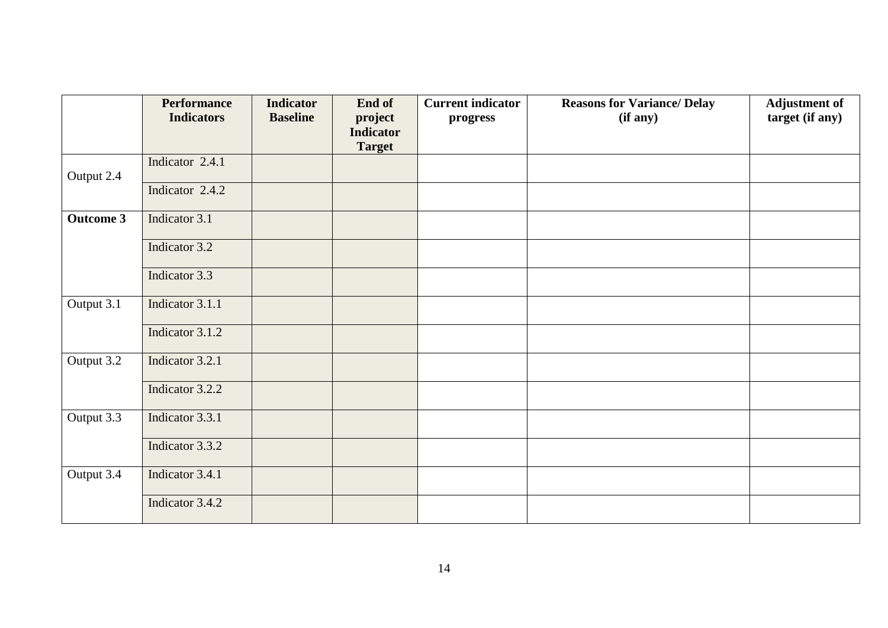|                  | <b>Performance</b><br><b>Indicators</b> | <b>Indicator</b><br><b>Baseline</b> | End of<br>project                 | <b>Current indicator</b><br>progress | <b>Reasons for Variance/ Delay</b><br>(if any) | <b>Adjustment of</b><br>target (if any) |
|------------------|-----------------------------------------|-------------------------------------|-----------------------------------|--------------------------------------|------------------------------------------------|-----------------------------------------|
|                  |                                         |                                     | <b>Indicator</b><br><b>Target</b> |                                      |                                                |                                         |
| Output 2.4       | Indicator 2.4.1                         |                                     |                                   |                                      |                                                |                                         |
|                  | Indicator 2.4.2                         |                                     |                                   |                                      |                                                |                                         |
| <b>Outcome 3</b> | Indicator 3.1                           |                                     |                                   |                                      |                                                |                                         |
|                  | Indicator 3.2                           |                                     |                                   |                                      |                                                |                                         |
|                  | Indicator 3.3                           |                                     |                                   |                                      |                                                |                                         |
| Output 3.1       | Indicator 3.1.1                         |                                     |                                   |                                      |                                                |                                         |
|                  | Indicator 3.1.2                         |                                     |                                   |                                      |                                                |                                         |
| Output 3.2       | Indicator 3.2.1                         |                                     |                                   |                                      |                                                |                                         |
|                  | Indicator 3.2.2                         |                                     |                                   |                                      |                                                |                                         |
| Output 3.3       | Indicator 3.3.1                         |                                     |                                   |                                      |                                                |                                         |
|                  | Indicator 3.3.2                         |                                     |                                   |                                      |                                                |                                         |
| Output 3.4       | Indicator 3.4.1                         |                                     |                                   |                                      |                                                |                                         |
|                  | Indicator 3.4.2                         |                                     |                                   |                                      |                                                |                                         |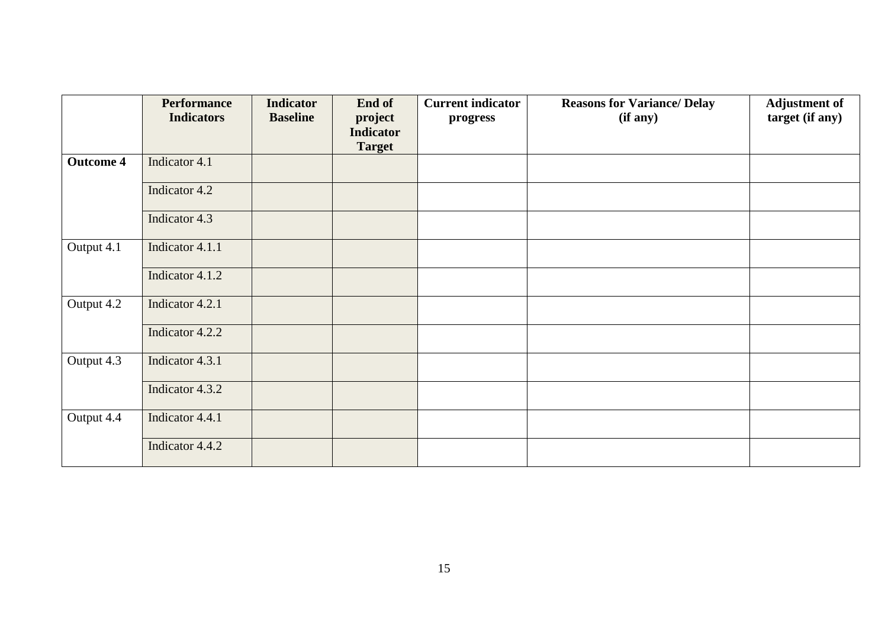|                  | <b>Performance</b> | <b>Indicator</b> | End of                                       | <b>Current indicator</b> | <b>Reasons for Variance/ Delay</b> | <b>Adjustment of</b> |
|------------------|--------------------|------------------|----------------------------------------------|--------------------------|------------------------------------|----------------------|
|                  | <b>Indicators</b>  | <b>Baseline</b>  | project<br><b>Indicator</b><br><b>Target</b> | progress                 | (if any)                           | target (if any)      |
| <b>Outcome 4</b> | Indicator 4.1      |                  |                                              |                          |                                    |                      |
|                  | Indicator 4.2      |                  |                                              |                          |                                    |                      |
|                  | Indicator 4.3      |                  |                                              |                          |                                    |                      |
| Output 4.1       | Indicator 4.1.1    |                  |                                              |                          |                                    |                      |
|                  | Indicator 4.1.2    |                  |                                              |                          |                                    |                      |
| Output 4.2       | Indicator 4.2.1    |                  |                                              |                          |                                    |                      |
|                  | Indicator 4.2.2    |                  |                                              |                          |                                    |                      |
| Output 4.3       | Indicator 4.3.1    |                  |                                              |                          |                                    |                      |
|                  | Indicator 4.3.2    |                  |                                              |                          |                                    |                      |
| Output 4.4       | Indicator 4.4.1    |                  |                                              |                          |                                    |                      |
|                  | Indicator 4.4.2    |                  |                                              |                          |                                    |                      |